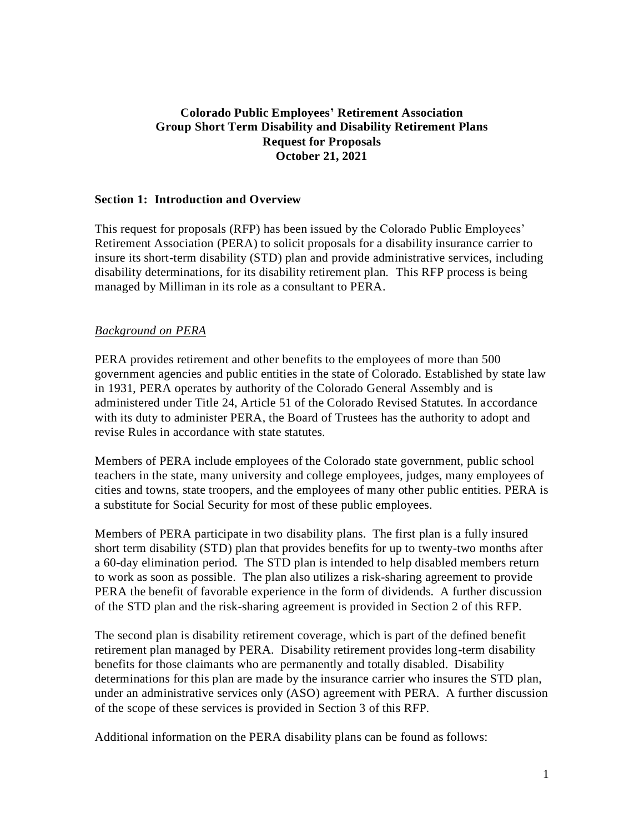## **Colorado Public Employees' Retirement Association Group Short Term Disability and Disability Retirement Plans Request for Proposals October 21, 2021**

#### **Section 1: Introduction and Overview**

This request for proposals (RFP) has been issued by the Colorado Public Employees' Retirement Association (PERA) to solicit proposals for a disability insurance carrier to insure its short-term disability (STD) plan and provide administrative services, including disability determinations, for its disability retirement plan. This RFP process is being managed by Milliman in its role as a consultant to PERA.

### *Background on PERA*

PERA provides retirement and other benefits to the employees of more than 500 government agencies and public entities in the state of Colorado. Established by state law in 1931, PERA operates by authority of the Colorado General Assembly and is administered under Title 24, Article 51 of the Colorado Revised Statutes. In accordance with its duty to administer PERA, the Board of Trustees has the authority to adopt and revise Rules in accordance with state statutes.

Members of PERA include employees of the Colorado state government, public school teachers in the state, many university and college employees, judges, many employees of cities and towns, state troopers, and the employees of many other public entities. PERA is a substitute for Social Security for most of these public employees.

Members of PERA participate in two disability plans. The first plan is a fully insured short term disability (STD) plan that provides benefits for up to twenty-two months after a 60-day elimination period. The STD plan is intended to help disabled members return to work as soon as possible. The plan also utilizes a risk-sharing agreement to provide PERA the benefit of favorable experience in the form of dividends. A further discussion of the STD plan and the risk-sharing agreement is provided in Section 2 of this RFP.

The second plan is disability retirement coverage, which is part of the defined benefit retirement plan managed by PERA. Disability retirement provides long-term disability benefits for those claimants who are permanently and totally disabled. Disability determinations for this plan are made by the insurance carrier who insures the STD plan, under an administrative services only (ASO) agreement with PERA. A further discussion of the scope of these services is provided in Section 3 of this RFP.

Additional information on the PERA disability plans can be found as follows: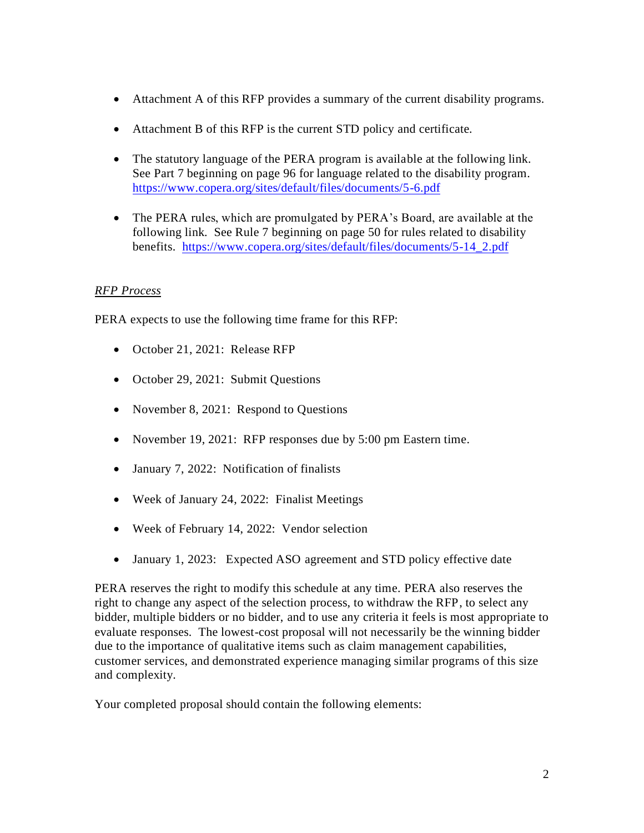- Attachment A of this RFP provides a summary of the current disability programs.
- Attachment B of this RFP is the current STD policy and certificate.
- The statutory language of the PERA program is available at the following link. See Part 7 beginning on page 96 for language related to the disability program. <https://www.copera.org/sites/default/files/documents/5-6.pdf>
- The PERA rules, which are promulgated by PERA's Board, are available at the following link. See Rule 7 beginning on page 50 for rules related to disability benefits. [https://www.copera.org/sites/default/files/documents/5-14\\_2.pdf](https://www.copera.org/sites/default/files/documents/5-14_2.pdf)

# *RFP Process*

PERA expects to use the following time frame for this RFP:

- October 21, 2021: Release RFP
- October 29, 2021: Submit Questions
- November 8, 2021: Respond to Questions
- November 19, 2021: RFP responses due by 5:00 pm Eastern time.
- January 7, 2022: Notification of finalists
- Week of January 24, 2022: Finalist Meetings
- Week of February 14, 2022: Vendor selection
- January 1, 2023: Expected ASO agreement and STD policy effective date

PERA reserves the right to modify this schedule at any time. PERA also reserves the right to change any aspect of the selection process, to withdraw the RFP, to select any bidder, multiple bidders or no bidder, and to use any criteria it feels is most appropriate to evaluate responses. The lowest-cost proposal will not necessarily be the winning bidder due to the importance of qualitative items such as claim management capabilities, customer services, and demonstrated experience managing similar programs of this size and complexity.

Your completed proposal should contain the following elements: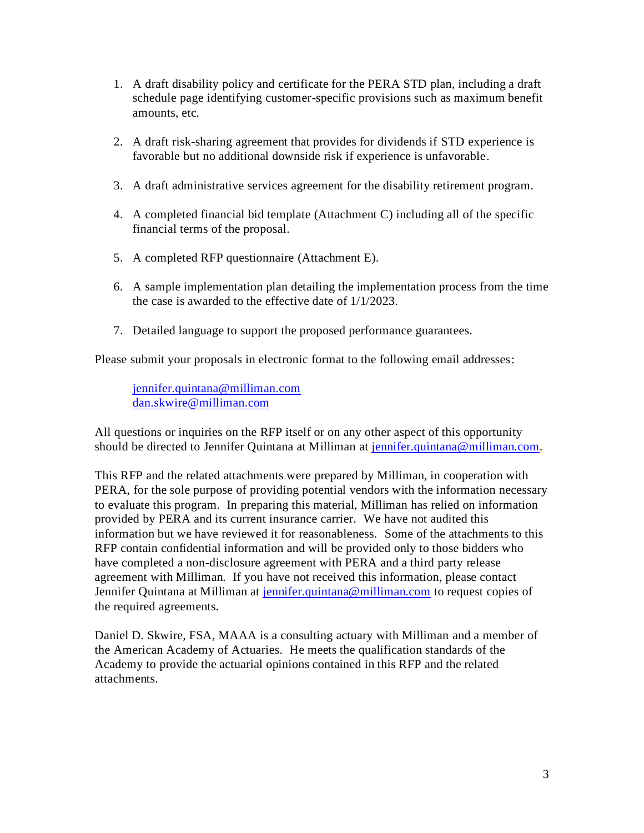- 1. A draft disability policy and certificate for the PERA STD plan, including a draft schedule page identifying customer-specific provisions such as maximum benefit amounts, etc.
- 2. A draft risk-sharing agreement that provides for dividends if STD experience is favorable but no additional downside risk if experience is unfavorable.
- 3. A draft administrative services agreement for the disability retirement program.
- 4. A completed financial bid template (Attachment C) including all of the specific financial terms of the proposal.
- 5. A completed RFP questionnaire (Attachment E).
- 6. A sample implementation plan detailing the implementation process from the time the case is awarded to the effective date of 1/1/2023.
- 7. Detailed language to support the proposed performance guarantees.

Please submit your proposals in electronic format to the following email addresses:

[jennifer.quintana@milliman.com](mailto:jennifer.quintana@milliman.com) [dan.skwire@milliman.com](mailto:dan.skwire@milliman.com)

All questions or inquiries on the RFP itself or on any other aspect of this opportunity should be directed to Jennifer Quintana at Milliman at [jennifer.quintana@milliman.com.](mailto:jennifer.quintana@milliman.com)

This RFP and the related attachments were prepared by Milliman, in cooperation with PERA, for the sole purpose of providing potential vendors with the information necessary to evaluate this program. In preparing this material, Milliman has relied on information provided by PERA and its current insurance carrier. We have not audited this information but we have reviewed it for reasonableness. Some of the attachments to this RFP contain confidential information and will be provided only to those bidders who have completed a non-disclosure agreement with PERA and a third party release agreement with Milliman. If you have not received this information, please contact Jennifer Quintana at Milliman at [jennifer.quintana@milliman.com](mailto:jennifer.quintana@milliman.com) to request copies of the required agreements.

Daniel D. Skwire, FSA, MAAA is a consulting actuary with Milliman and a member of the American Academy of Actuaries. He meets the qualification standards of the Academy to provide the actuarial opinions contained in this RFP and the related attachments.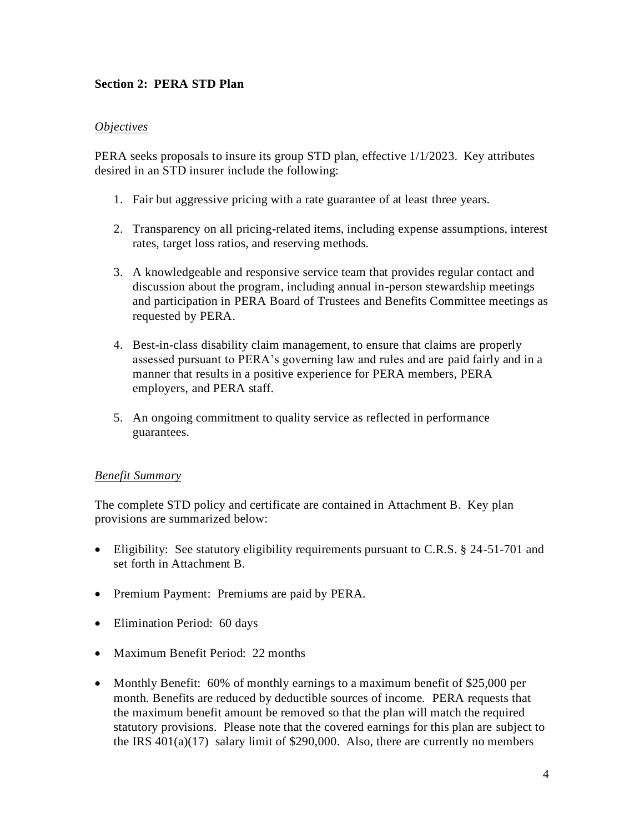## **Section 2: PERA STD Plan**

### *Objectives*

PERA seeks proposals to insure its group STD plan, effective 1/1/2023. Key attributes desired in an STD insurer include the following:

- 1. Fair but aggressive pricing with a rate guarantee of at least three years.
- 2. Transparency on all pricing-related items, including expense assumptions, interest rates, target loss ratios, and reserving methods.
- 3. A knowledgeable and responsive service team that provides regular contact and discussion about the program, including annual in-person stewardship meetings and participation in PERA Board of Trustees and Benefits Committee meetings as requested by PERA.
- 4. Best-in-class disability claim management, to ensure that claims are properly assessed pursuant to PERA's governing law and rules and are paid fairly and in a manner that results in a positive experience for PERA members, PERA employers, and PERA staff.
- 5. An ongoing commitment to quality service as reflected in performance guarantees.

### *Benefit Summary*

The complete STD policy and certificate are contained in Attachment B. Key plan provisions are summarized below:

- Eligibility: See statutory eligibility requirements pursuant to C.R.S. § 24-51-701 and set forth in Attachment B.
- Premium Payment: Premiums are paid by PERA.
- Elimination Period: 60 days
- Maximum Benefit Period: 22 months
- Monthly Benefit: 60% of monthly earnings to a maximum benefit of \$25,000 per month. Benefits are reduced by deductible sources of income. PERA requests that the maximum benefit amount be removed so that the plan will match the required statutory provisions. Please note that the covered earnings for this plan are subject to the IRS  $401(a)(17)$  salary limit of \$290,000. Also, there are currently no members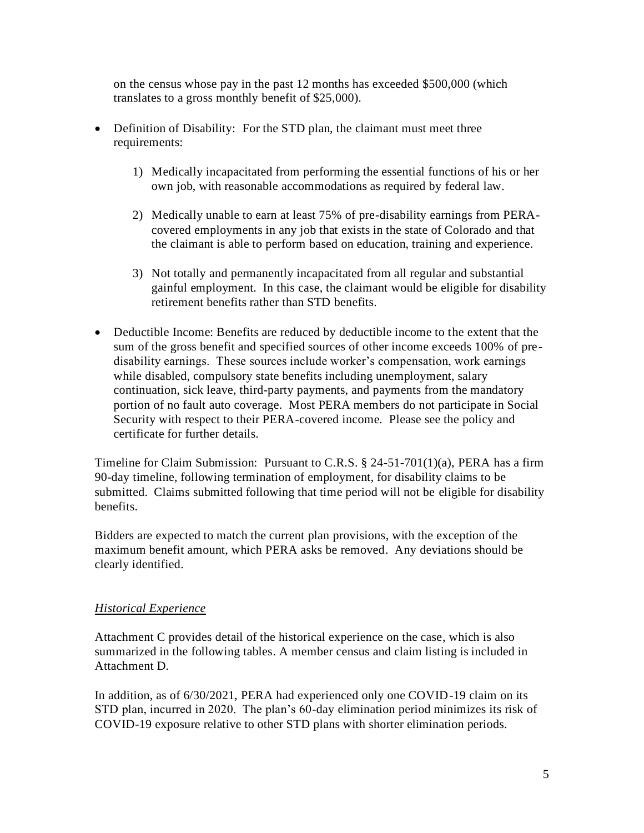on the census whose pay in the past 12 months has exceeded \$500,000 (which translates to a gross monthly benefit of \$25,000).

- Definition of Disability: For the STD plan, the claimant must meet three requirements:
	- 1) Medically incapacitated from performing the essential functions of his or her own job, with reasonable accommodations as required by federal law.
	- 2) Medically unable to earn at least 75% of pre-disability earnings from PERAcovered employments in any job that exists in the state of Colorado and that the claimant is able to perform based on education, training and experience.
	- 3) Not totally and permanently incapacitated from all regular and substantial gainful employment. In this case, the claimant would be eligible for disability retirement benefits rather than STD benefits.
- Deductible Income: Benefits are reduced by deductible income to the extent that the sum of the gross benefit and specified sources of other income exceeds 100% of predisability earnings. These sources include worker's compensation, work earnings while disabled, compulsory state benefits including unemployment, salary continuation, sick leave, third-party payments, and payments from the mandatory portion of no fault auto coverage. Most PERA members do not participate in Social Security with respect to their PERA-covered income. Please see the policy and certificate for further details.

Timeline for Claim Submission: Pursuant to C.R.S.  $\S 24-51-701(1)(a)$ , PERA has a firm 90-day timeline, following termination of employment, for disability claims to be submitted. Claims submitted following that time period will not be eligible for disability benefits.

Bidders are expected to match the current plan provisions, with the exception of the maximum benefit amount, which PERA asks be removed. Any deviations should be clearly identified.

## *Historical Experience*

Attachment C provides detail of the historical experience on the case, which is also summarized in the following tables. A member census and claim listing is included in Attachment D.

In addition, as of 6/30/2021, PERA had experienced only one COVID-19 claim on its STD plan, incurred in 2020. The plan's 60-day elimination period minimizes its risk of COVID-19 exposure relative to other STD plans with shorter elimination periods.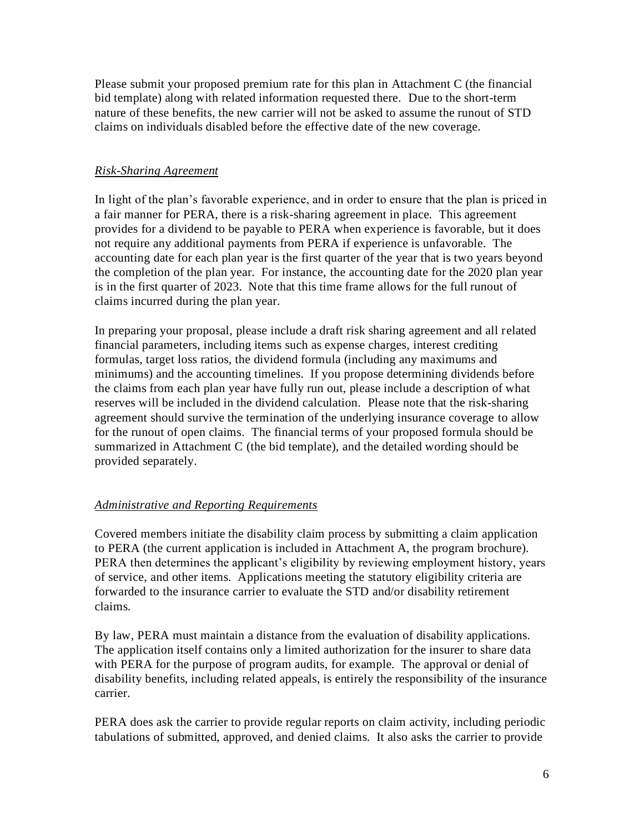Please submit your proposed premium rate for this plan in Attachment C (the financial bid template) along with related information requested there. Due to the short-term nature of these benefits, the new carrier will not be asked to assume the runout of STD claims on individuals disabled before the effective date of the new coverage.

### *Risk-Sharing Agreement*

In light of the plan's favorable experience, and in order to ensure that the plan is priced in a fair manner for PERA, there is a risk-sharing agreement in place. This agreement provides for a dividend to be payable to PERA when experience is favorable, but it does not require any additional payments from PERA if experience is unfavorable. The accounting date for each plan year is the first quarter of the year that is two years beyond the completion of the plan year. For instance, the accounting date for the 2020 plan year is in the first quarter of 2023. Note that this time frame allows for the full runout of claims incurred during the plan year.

In preparing your proposal, please include a draft risk sharing agreement and all related financial parameters, including items such as expense charges, interest crediting formulas, target loss ratios, the dividend formula (including any maximums and minimums) and the accounting timelines. If you propose determining dividends before the claims from each plan year have fully run out, please include a description of what reserves will be included in the dividend calculation. Please note that the risk-sharing agreement should survive the termination of the underlying insurance coverage to allow for the runout of open claims. The financial terms of your proposed formula should be summarized in Attachment C (the bid template), and the detailed wording should be provided separately.

### *Administrative and Reporting Requirements*

Covered members initiate the disability claim process by submitting a claim application to PERA (the current application is included in Attachment A, the program brochure). PERA then determines the applicant's eligibility by reviewing employment history, years of service, and other items. Applications meeting the statutory eligibility criteria are forwarded to the insurance carrier to evaluate the STD and/or disability retirement claims.

By law, PERA must maintain a distance from the evaluation of disability applications. The application itself contains only a limited authorization for the insurer to share data with PERA for the purpose of program audits, for example. The approval or denial of disability benefits, including related appeals, is entirely the responsibility of the insurance carrier.

PERA does ask the carrier to provide regular reports on claim activity, including periodic tabulations of submitted, approved, and denied claims. It also asks the carrier to provide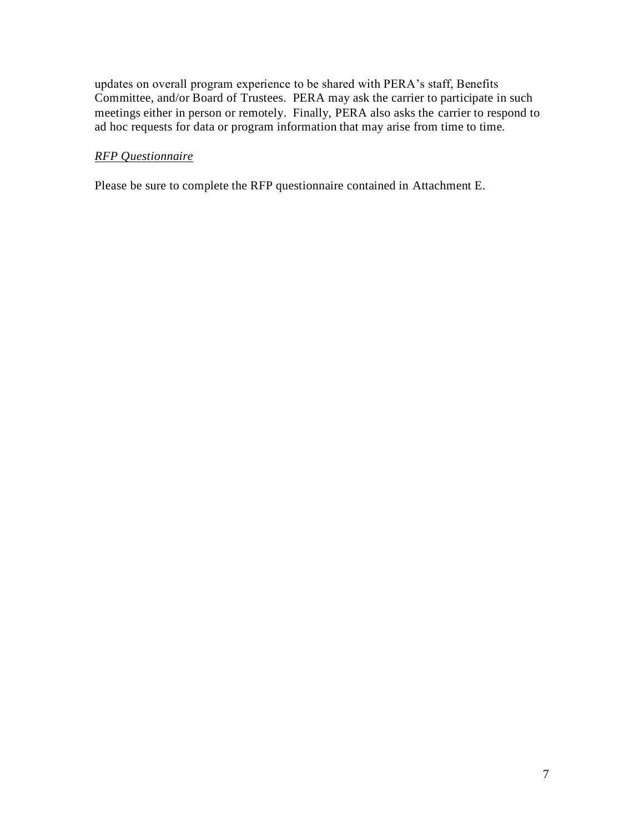updates on overall program experience to be shared with PERA's staff, Benefits Committee, and/or Board of Trustees. PERA may ask the carrier to participate in such meetings either in person or remotely. Finally, PERA also asks the carrier to respond to ad hoc requests for data or program information that may arise from time to time.

### *RFP Questionnaire*

Please be sure to complete the RFP questionnaire contained in Attachment E.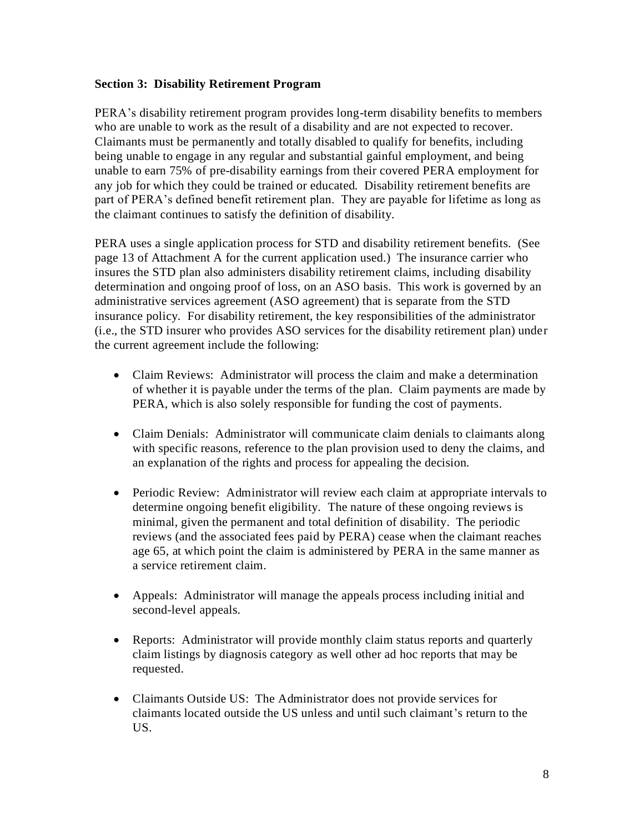### **Section 3: Disability Retirement Program**

PERA's disability retirement program provides long-term disability benefits to members who are unable to work as the result of a disability and are not expected to recover. Claimants must be permanently and totally disabled to qualify for benefits, including being unable to engage in any regular and substantial gainful employment, and being unable to earn 75% of pre-disability earnings from their covered PERA employment for any job for which they could be trained or educated. Disability retirement benefits are part of PERA's defined benefit retirement plan. They are payable for lifetime as long as the claimant continues to satisfy the definition of disability.

PERA uses a single application process for STD and disability retirement benefits. (See page 13 of Attachment A for the current application used.) The insurance carrier who insures the STD plan also administers disability retirement claims, including disability determination and ongoing proof of loss, on an ASO basis. This work is governed by an administrative services agreement (ASO agreement) that is separate from the STD insurance policy. For disability retirement, the key responsibilities of the administrator (i.e., the STD insurer who provides ASO services for the disability retirement plan) under the current agreement include the following:

- Claim Reviews: Administrator will process the claim and make a determination of whether it is payable under the terms of the plan. Claim payments are made by PERA, which is also solely responsible for funding the cost of payments.
- Claim Denials: Administrator will communicate claim denials to claimants along with specific reasons, reference to the plan provision used to deny the claims, and an explanation of the rights and process for appealing the decision.
- Periodic Review: Administrator will review each claim at appropriate intervals to determine ongoing benefit eligibility. The nature of these ongoing reviews is minimal, given the permanent and total definition of disability. The periodic reviews (and the associated fees paid by PERA) cease when the claimant reaches age 65, at which point the claim is administered by PERA in the same manner as a service retirement claim.
- Appeals: Administrator will manage the appeals process including initial and second-level appeals.
- Reports: Administrator will provide monthly claim status reports and quarterly claim listings by diagnosis category as well other ad hoc reports that may be requested.
- Claimants Outside US: The Administrator does not provide services for claimants located outside the US unless and until such claimant's return to the US.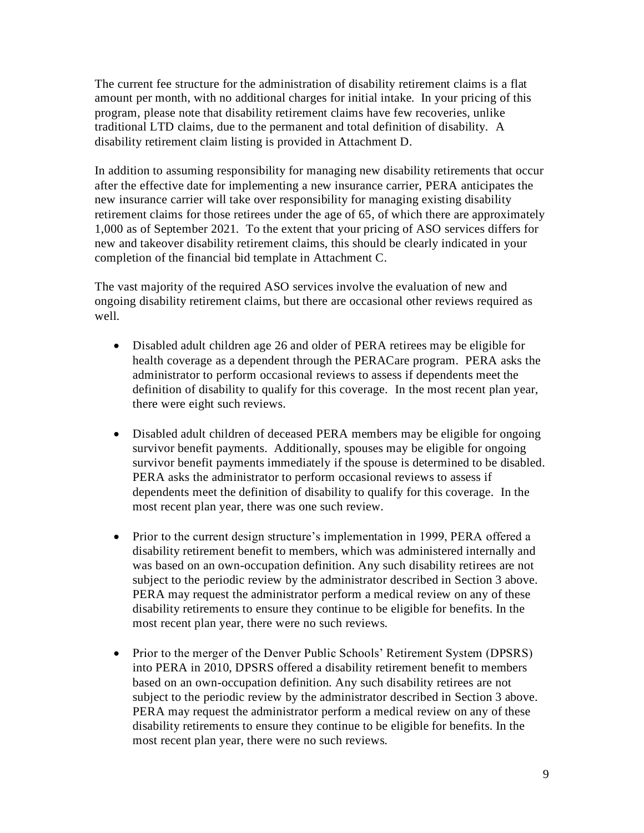The current fee structure for the administration of disability retirement claims is a flat amount per month, with no additional charges for initial intake. In your pricing of this program, please note that disability retirement claims have few recoveries, unlike traditional LTD claims, due to the permanent and total definition of disability. A disability retirement claim listing is provided in Attachment D.

In addition to assuming responsibility for managing new disability retirements that occur after the effective date for implementing a new insurance carrier, PERA anticipates the new insurance carrier will take over responsibility for managing existing disability retirement claims for those retirees under the age of 65, of which there are approximately 1,000 as of September 2021. To the extent that your pricing of ASO services differs for new and takeover disability retirement claims, this should be clearly indicated in your completion of the financial bid template in Attachment C.

The vast majority of the required ASO services involve the evaluation of new and ongoing disability retirement claims, but there are occasional other reviews required as well.

- Disabled adult children age 26 and older of PERA retirees may be eligible for health coverage as a dependent through the PERACare program. PERA asks the administrator to perform occasional reviews to assess if dependents meet the definition of disability to qualify for this coverage. In the most recent plan year, there were eight such reviews.
- Disabled adult children of deceased PERA members may be eligible for ongoing survivor benefit payments. Additionally, spouses may be eligible for ongoing survivor benefit payments immediately if the spouse is determined to be disabled. PERA asks the administrator to perform occasional reviews to assess if dependents meet the definition of disability to qualify for this coverage. In the most recent plan year, there was one such review.
- Prior to the current design structure's implementation in 1999, PERA offered a disability retirement benefit to members, which was administered internally and was based on an own-occupation definition. Any such disability retirees are not subject to the periodic review by the administrator described in Section 3 above. PERA may request the administrator perform a medical review on any of these disability retirements to ensure they continue to be eligible for benefits. In the most recent plan year, there were no such reviews.
- Prior to the merger of the Denver Public Schools' Retirement System (DPSRS) into PERA in 2010, DPSRS offered a disability retirement benefit to members based on an own-occupation definition. Any such disability retirees are not subject to the periodic review by the administrator described in Section 3 above. PERA may request the administrator perform a medical review on any of these disability retirements to ensure they continue to be eligible for benefits. In the most recent plan year, there were no such reviews.